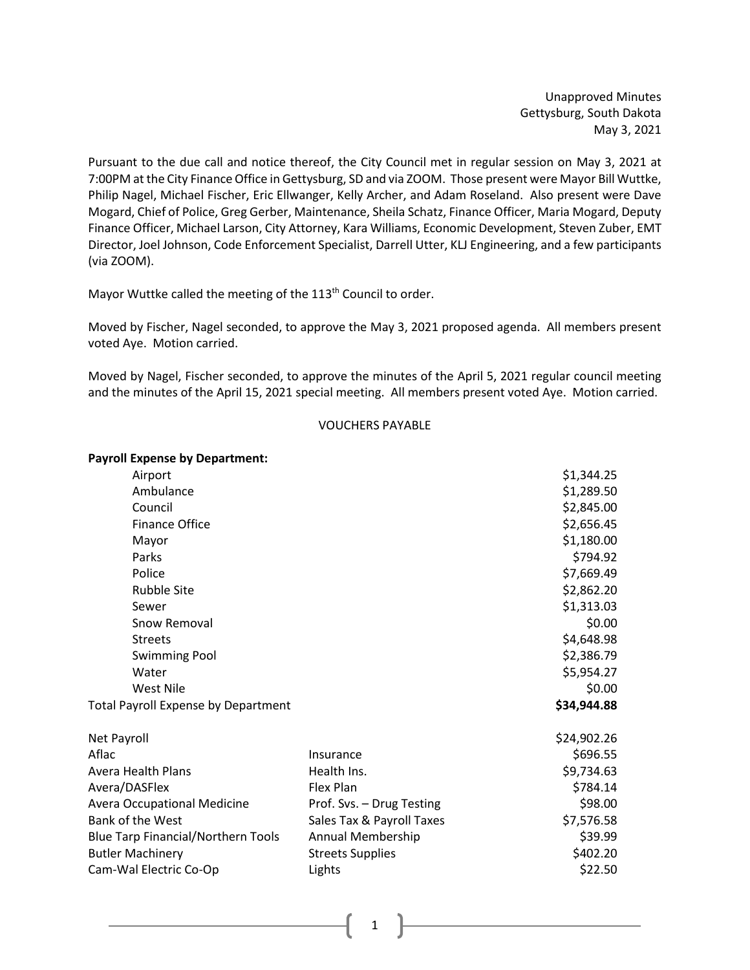Unapproved Minutes Gettysburg, South Dakota May 3, 2021

Pursuant to the due call and notice thereof, the City Council met in regular session on May 3, 2021 at 7:00PM at the City Finance Office in Gettysburg, SD and via ZOOM. Those present were Mayor Bill Wuttke, Philip Nagel, Michael Fischer, Eric Ellwanger, Kelly Archer, and Adam Roseland. Also present were Dave Mogard, Chief of Police, Greg Gerber, Maintenance, Sheila Schatz, Finance Officer, Maria Mogard, Deputy Finance Officer, Michael Larson, City Attorney, Kara Williams, Economic Development, Steven Zuber, EMT Director, Joel Johnson, Code Enforcement Specialist, Darrell Utter, KLJ Engineering, and a few participants (via ZOOM).

Mayor Wuttke called the meeting of the 113<sup>th</sup> Council to order.

Moved by Fischer, Nagel seconded, to approve the May 3, 2021 proposed agenda. All members present voted Aye. Motion carried.

Moved by Nagel, Fischer seconded, to approve the minutes of the April 5, 2021 regular council meeting and the minutes of the April 15, 2021 special meeting. All members present voted Aye. Motion carried.

### VOUCHERS PAYABLE

# **Payroll Expense by Department:**

| Airport                                   |                           | \$1,344.25  |
|-------------------------------------------|---------------------------|-------------|
| Ambulance                                 |                           | \$1,289.50  |
| Council                                   |                           | \$2,845.00  |
| Finance Office                            |                           | \$2,656.45  |
| Mayor                                     |                           | \$1,180.00  |
| Parks                                     |                           | \$794.92    |
| Police                                    |                           | \$7,669.49  |
| <b>Rubble Site</b>                        |                           | \$2,862.20  |
| Sewer                                     |                           | \$1,313.03  |
| Snow Removal                              |                           | \$0.00      |
| <b>Streets</b>                            |                           | \$4,648.98  |
| <b>Swimming Pool</b>                      |                           | \$2,386.79  |
| Water                                     |                           | \$5,954.27  |
| West Nile                                 |                           | \$0.00      |
| Total Payroll Expense by Department       | \$34,944.88               |             |
| Net Payroll                               |                           | \$24,902.26 |
| Aflac                                     | Insurance                 | \$696.55    |
| Avera Health Plans                        | Health Ins.               | \$9,734.63  |
| Avera/DASFlex                             | Flex Plan                 | \$784.14    |
| <b>Avera Occupational Medicine</b>        | Prof. Svs. - Drug Testing | \$98.00     |
| <b>Bank of the West</b>                   | Sales Tax & Payroll Taxes | \$7,576.58  |
| <b>Blue Tarp Financial/Northern Tools</b> | Annual Membership         | \$39.99     |
| <b>Butler Machinery</b>                   | <b>Streets Supplies</b>   | \$402.20    |
| Cam-Wal Electric Co-Op                    | Lights                    | \$22.50     |
|                                           |                           |             |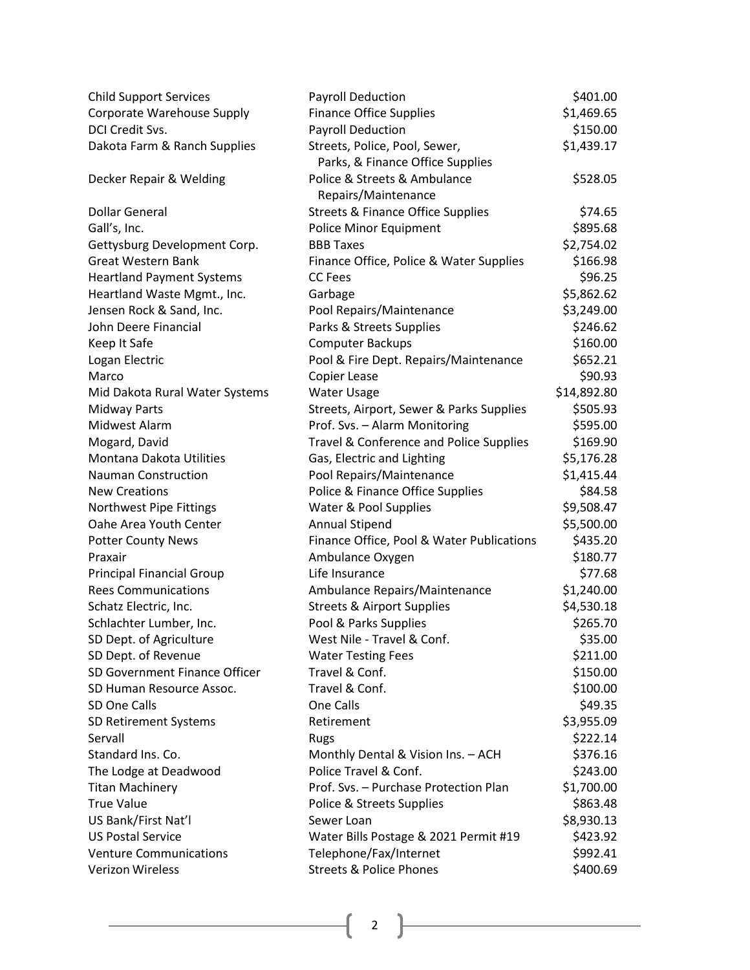| <b>Child Support Services</b>    | <b>Payroll Deduction</b>                     | \$401.00    |
|----------------------------------|----------------------------------------------|-------------|
| Corporate Warehouse Supply       | <b>Finance Office Supplies</b>               | \$1,469.65  |
| DCI Credit Svs.                  | <b>Payroll Deduction</b>                     | \$150.00    |
| Dakota Farm & Ranch Supplies     | Streets, Police, Pool, Sewer,                | \$1,439.17  |
|                                  | Parks, & Finance Office Supplies             |             |
| Decker Repair & Welding          | Police & Streets & Ambulance                 | \$528.05    |
|                                  | Repairs/Maintenance                          |             |
| <b>Dollar General</b>            | <b>Streets &amp; Finance Office Supplies</b> | \$74.65     |
| Gall's, Inc.                     | Police Minor Equipment                       | \$895.68    |
| Gettysburg Development Corp.     | <b>BBB Taxes</b>                             | \$2,754.02  |
| <b>Great Western Bank</b>        | Finance Office, Police & Water Supplies      | \$166.98    |
| <b>Heartland Payment Systems</b> | <b>CC</b> Fees                               | \$96.25     |
| Heartland Waste Mgmt., Inc.      | Garbage                                      | \$5,862.62  |
| Jensen Rock & Sand, Inc.         | Pool Repairs/Maintenance                     | \$3,249.00  |
| John Deere Financial             | Parks & Streets Supplies                     | \$246.62    |
| Keep It Safe                     | <b>Computer Backups</b>                      | \$160.00    |
| Logan Electric                   | Pool & Fire Dept. Repairs/Maintenance        | \$652.21    |
| Marco                            | Copier Lease                                 | \$90.93     |
| Mid Dakota Rural Water Systems   | Water Usage                                  | \$14,892.80 |
| <b>Midway Parts</b>              | Streets, Airport, Sewer & Parks Supplies     | \$505.93    |
| Midwest Alarm                    | Prof. Svs. - Alarm Monitoring                | \$595.00    |
| Mogard, David                    | Travel & Conference and Police Supplies      | \$169.90    |
| Montana Dakota Utilities         | Gas, Electric and Lighting                   | \$5,176.28  |
| <b>Nauman Construction</b>       | Pool Repairs/Maintenance                     | \$1,415.44  |
| <b>New Creations</b>             | Police & Finance Office Supplies             | \$84.58     |
| Northwest Pipe Fittings          | Water & Pool Supplies                        | \$9,508.47  |
| Oahe Area Youth Center           | Annual Stipend                               | \$5,500.00  |
| <b>Potter County News</b>        | Finance Office, Pool & Water Publications    | \$435.20    |
| Praxair                          | Ambulance Oxygen                             | \$180.77    |
| <b>Principal Financial Group</b> | Life Insurance                               | \$77.68     |
| <b>Rees Communications</b>       | Ambulance Repairs/Maintenance                | \$1,240.00  |
| Schatz Electric, Inc.            | <b>Streets &amp; Airport Supplies</b>        | \$4,530.18  |
| Schlachter Lumber, Inc.          | Pool & Parks Supplies                        | \$265.70    |
| SD Dept. of Agriculture          | West Nile - Travel & Conf.                   | \$35.00     |
| SD Dept. of Revenue              | <b>Water Testing Fees</b>                    | \$211.00    |
| SD Government Finance Officer    | Travel & Conf.                               | \$150.00    |
| SD Human Resource Assoc.         | Travel & Conf.                               | \$100.00    |
| SD One Calls                     | One Calls                                    | \$49.35     |
| SD Retirement Systems            | Retirement                                   | \$3,955.09  |
| Servall                          | Rugs                                         | \$222.14    |
| Standard Ins. Co.                | Monthly Dental & Vision Ins. - ACH           | \$376.16    |
| The Lodge at Deadwood            | Police Travel & Conf.                        | \$243.00    |
| <b>Titan Machinery</b>           | Prof. Svs. - Purchase Protection Plan        | \$1,700.00  |
| <b>True Value</b>                | Police & Streets Supplies                    | \$863.48    |
| US Bank/First Nat'l              | Sewer Loan                                   | \$8,930.13  |
| <b>US Postal Service</b>         | Water Bills Postage & 2021 Permit #19        | \$423.92    |
| <b>Venture Communications</b>    | Telephone/Fax/Internet                       | \$992.41    |
| <b>Verizon Wireless</b>          | <b>Streets &amp; Police Phones</b>           | \$400.69    |
|                                  |                                              |             |

 $\begin{array}{|c|c|c|c|c|}\hline \rule{0pt}{1ex}\rule{0pt}{1ex}\hspace{-2.2ex}\rule{0pt}{1ex}\hspace{-2.2ex}\rule{0pt}{1ex}\hspace{-2.2ex}\hspace{-2.2ex}\rule{0pt}{1ex}\hspace{-2.2ex}\hspace{-2.2ex}\rule{0pt}{1ex}\hspace{-2.2ex}\hspace{-2.2ex}\hspace{-2.2ex}\hspace{-2.2ex}\hspace{-2.2ex}\hspace{-2.2ex}\hspace{-2.2ex}\hspace{-2.2ex}\hspace{-2.2ex}\hspace{-2.2ex}\hspace{-2.2ex}\hspace{-2.2ex}\hspace{-2.2ex}\$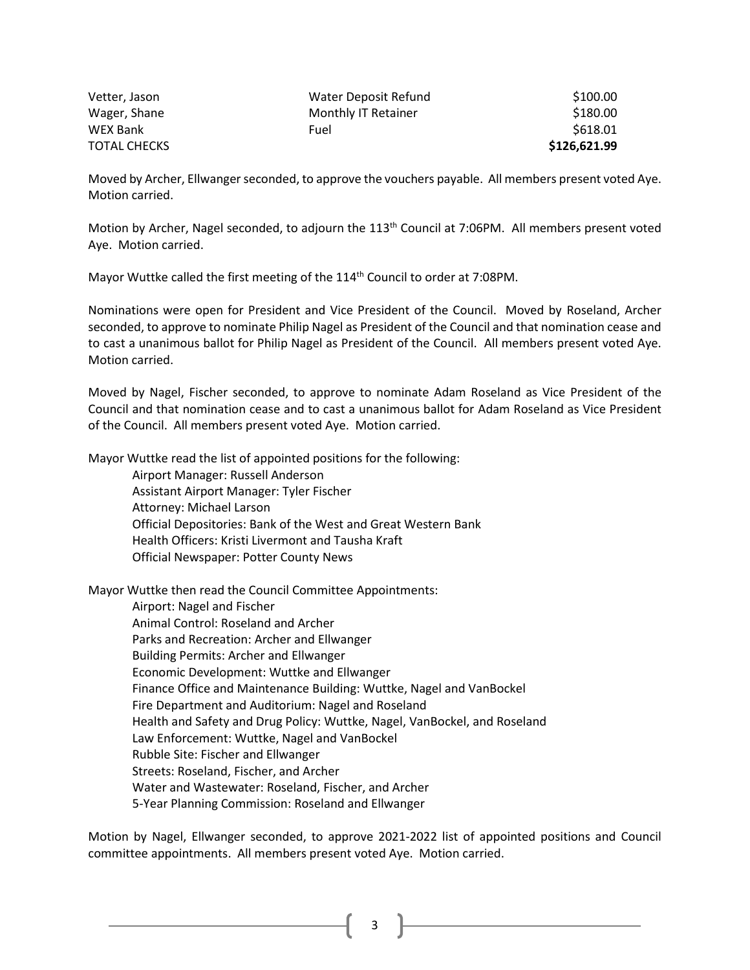| Vetter, Jason       | Water Deposit Refund | \$100.00     |
|---------------------|----------------------|--------------|
| Wager, Shane        | Monthly IT Retainer  | \$180.00     |
| <b>WEX Bank</b>     | Fuel                 | \$618.01     |
| <b>TOTAL CHECKS</b> |                      | \$126,621.99 |

Moved by Archer, Ellwanger seconded, to approve the vouchers payable. All members present voted Aye. Motion carried.

Motion by Archer, Nagel seconded, to adjourn the 113<sup>th</sup> Council at 7:06PM. All members present voted Aye. Motion carried.

Mayor Wuttke called the first meeting of the 114<sup>th</sup> Council to order at 7:08PM.

Nominations were open for President and Vice President of the Council. Moved by Roseland, Archer seconded, to approve to nominate Philip Nagel as President of the Council and that nomination cease and to cast a unanimous ballot for Philip Nagel as President of the Council. All members present voted Aye. Motion carried.

Moved by Nagel, Fischer seconded, to approve to nominate Adam Roseland as Vice President of the Council and that nomination cease and to cast a unanimous ballot for Adam Roseland as Vice President of the Council. All members present voted Aye. Motion carried.

Mayor Wuttke read the list of appointed positions for the following:

Airport Manager: Russell Anderson Assistant Airport Manager: Tyler Fischer Attorney: Michael Larson Official Depositories: Bank of the West and Great Western Bank Health Officers: Kristi Livermont and Tausha Kraft Official Newspaper: Potter County News

Mayor Wuttke then read the Council Committee Appointments:

Airport: Nagel and Fischer Animal Control: Roseland and Archer Parks and Recreation: Archer and Ellwanger Building Permits: Archer and Ellwanger Economic Development: Wuttke and Ellwanger Finance Office and Maintenance Building: Wuttke, Nagel and VanBockel Fire Department and Auditorium: Nagel and Roseland Health and Safety and Drug Policy: Wuttke, Nagel, VanBockel, and Roseland Law Enforcement: Wuttke, Nagel and VanBockel Rubble Site: Fischer and Ellwanger Streets: Roseland, Fischer, and Archer Water and Wastewater: Roseland, Fischer, and Archer 5-Year Planning Commission: Roseland and Ellwanger

Motion by Nagel, Ellwanger seconded, to approve 2021-2022 list of appointed positions and Council committee appointments. All members present voted Aye. Motion carried.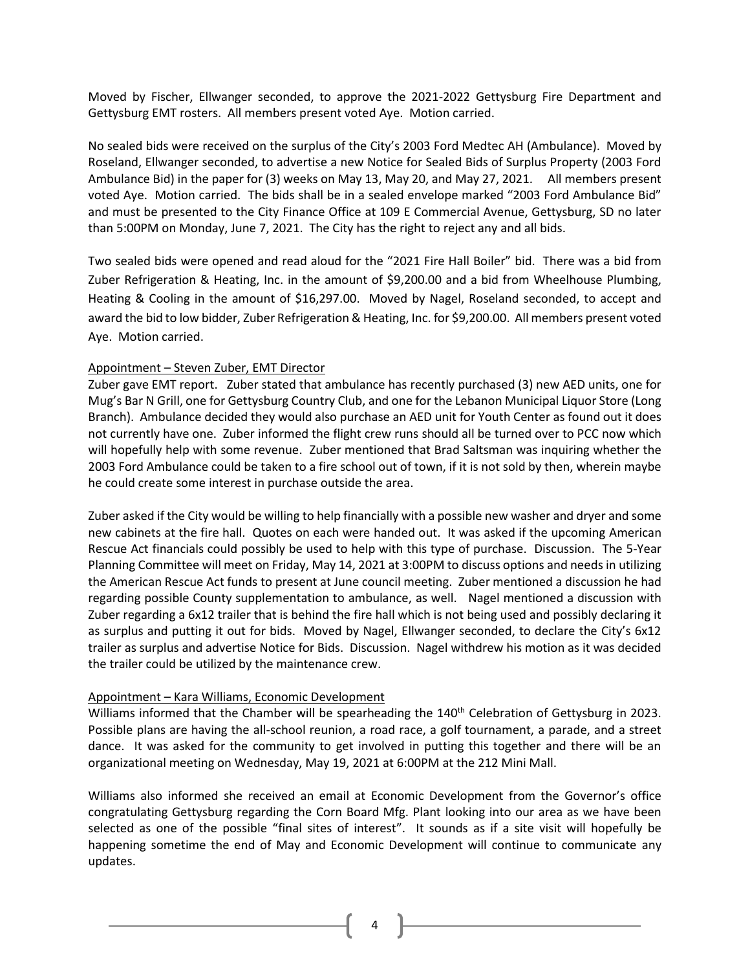Moved by Fischer, Ellwanger seconded, to approve the 2021-2022 Gettysburg Fire Department and Gettysburg EMT rosters. All members present voted Aye. Motion carried.

No sealed bids were received on the surplus of the City's 2003 Ford Medtec AH (Ambulance). Moved by Roseland, Ellwanger seconded, to advertise a new Notice for Sealed Bids of Surplus Property (2003 Ford Ambulance Bid) in the paper for (3) weeks on May 13, May 20, and May 27, 2021. All members present voted Aye. Motion carried. The bids shall be in a sealed envelope marked "2003 Ford Ambulance Bid" and must be presented to the City Finance Office at 109 E Commercial Avenue, Gettysburg, SD no later than 5:00PM on Monday, June 7, 2021. The City has the right to reject any and all bids.

Two sealed bids were opened and read aloud for the "2021 Fire Hall Boiler" bid. There was a bid from Zuber Refrigeration & Heating, Inc. in the amount of \$9,200.00 and a bid from Wheelhouse Plumbing, Heating & Cooling in the amount of \$16,297.00. Moved by Nagel, Roseland seconded, to accept and award the bid to low bidder, Zuber Refrigeration & Heating, Inc. for \$9,200.00. All members present voted Aye. Motion carried.

## Appointment – Steven Zuber, EMT Director

Zuber gave EMT report. Zuber stated that ambulance has recently purchased (3) new AED units, one for Mug's Bar N Grill, one for Gettysburg Country Club, and one for the Lebanon Municipal Liquor Store (Long Branch). Ambulance decided they would also purchase an AED unit for Youth Center as found out it does not currently have one. Zuber informed the flight crew runs should all be turned over to PCC now which will hopefully help with some revenue. Zuber mentioned that Brad Saltsman was inquiring whether the 2003 Ford Ambulance could be taken to a fire school out of town, if it is not sold by then, wherein maybe he could create some interest in purchase outside the area.

Zuber asked if the City would be willing to help financially with a possible new washer and dryer and some new cabinets at the fire hall. Quotes on each were handed out. It was asked if the upcoming American Rescue Act financials could possibly be used to help with this type of purchase. Discussion. The 5-Year Planning Committee will meet on Friday, May 14, 2021 at 3:00PM to discuss options and needs in utilizing the American Rescue Act funds to present at June council meeting. Zuber mentioned a discussion he had regarding possible County supplementation to ambulance, as well. Nagel mentioned a discussion with Zuber regarding a 6x12 trailer that is behind the fire hall which is not being used and possibly declaring it as surplus and putting it out for bids. Moved by Nagel, Ellwanger seconded, to declare the City's 6x12 trailer as surplus and advertise Notice for Bids. Discussion. Nagel withdrew his motion as it was decided the trailer could be utilized by the maintenance crew.

## Appointment – Kara Williams, Economic Development

Williams informed that the Chamber will be spearheading the 140<sup>th</sup> Celebration of Gettysburg in 2023. Possible plans are having the all-school reunion, a road race, a golf tournament, a parade, and a street dance. It was asked for the community to get involved in putting this together and there will be an organizational meeting on Wednesday, May 19, 2021 at 6:00PM at the 212 Mini Mall.

Williams also informed she received an email at Economic Development from the Governor's office congratulating Gettysburg regarding the Corn Board Mfg. Plant looking into our area as we have been selected as one of the possible "final sites of interest". It sounds as if a site visit will hopefully be happening sometime the end of May and Economic Development will continue to communicate any updates.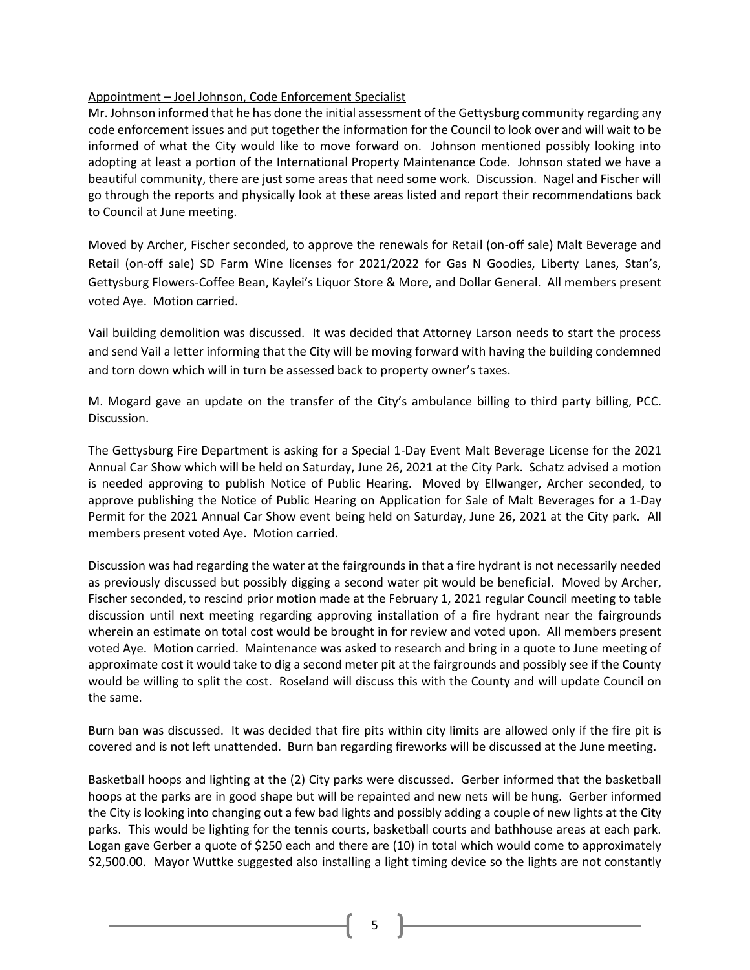## Appointment – Joel Johnson, Code Enforcement Specialist

Mr. Johnson informed that he has done the initial assessment of the Gettysburg community regarding any code enforcement issues and put together the information for the Council to look over and will wait to be informed of what the City would like to move forward on. Johnson mentioned possibly looking into adopting at least a portion of the International Property Maintenance Code. Johnson stated we have a beautiful community, there are just some areas that need some work. Discussion. Nagel and Fischer will go through the reports and physically look at these areas listed and report their recommendations back to Council at June meeting.

Moved by Archer, Fischer seconded, to approve the renewals for Retail (on-off sale) Malt Beverage and Retail (on-off sale) SD Farm Wine licenses for 2021/2022 for Gas N Goodies, Liberty Lanes, Stan's, Gettysburg Flowers-Coffee Bean, Kaylei's Liquor Store & More, and Dollar General. All members present voted Aye. Motion carried.

Vail building demolition was discussed. It was decided that Attorney Larson needs to start the process and send Vail a letter informing that the City will be moving forward with having the building condemned and torn down which will in turn be assessed back to property owner's taxes.

M. Mogard gave an update on the transfer of the City's ambulance billing to third party billing, PCC. Discussion.

The Gettysburg Fire Department is asking for a Special 1-Day Event Malt Beverage License for the 2021 Annual Car Show which will be held on Saturday, June 26, 2021 at the City Park. Schatz advised a motion is needed approving to publish Notice of Public Hearing. Moved by Ellwanger, Archer seconded, to approve publishing the Notice of Public Hearing on Application for Sale of Malt Beverages for a 1-Day Permit for the 2021 Annual Car Show event being held on Saturday, June 26, 2021 at the City park. All members present voted Aye. Motion carried.

Discussion was had regarding the water at the fairgrounds in that a fire hydrant is not necessarily needed as previously discussed but possibly digging a second water pit would be beneficial. Moved by Archer, Fischer seconded, to rescind prior motion made at the February 1, 2021 regular Council meeting to table discussion until next meeting regarding approving installation of a fire hydrant near the fairgrounds wherein an estimate on total cost would be brought in for review and voted upon. All members present voted Aye. Motion carried. Maintenance was asked to research and bring in a quote to June meeting of approximate cost it would take to dig a second meter pit at the fairgrounds and possibly see if the County would be willing to split the cost. Roseland will discuss this with the County and will update Council on the same.

Burn ban was discussed. It was decided that fire pits within city limits are allowed only if the fire pit is covered and is not left unattended. Burn ban regarding fireworks will be discussed at the June meeting.

Basketball hoops and lighting at the (2) City parks were discussed. Gerber informed that the basketball hoops at the parks are in good shape but will be repainted and new nets will be hung. Gerber informed the City is looking into changing out a few bad lights and possibly adding a couple of new lights at the City parks. This would be lighting for the tennis courts, basketball courts and bathhouse areas at each park. Logan gave Gerber a quote of \$250 each and there are (10) in total which would come to approximately \$2,500.00. Mayor Wuttke suggested also installing a light timing device so the lights are not constantly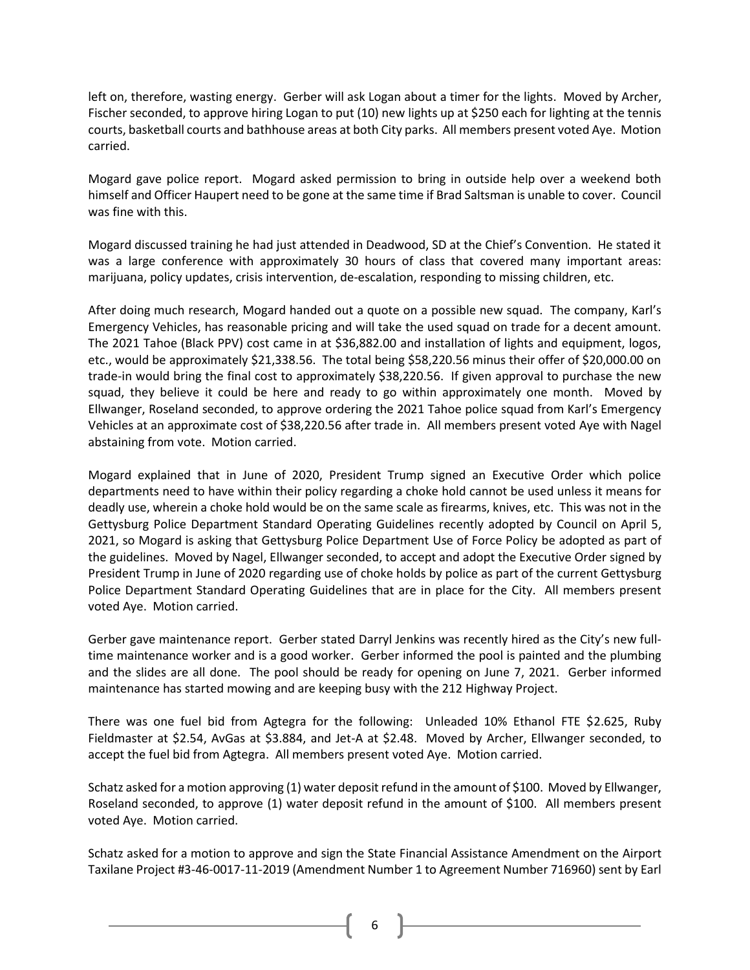left on, therefore, wasting energy. Gerber will ask Logan about a timer for the lights. Moved by Archer, Fischer seconded, to approve hiring Logan to put (10) new lights up at \$250 each for lighting at the tennis courts, basketball courts and bathhouse areas at both City parks. All members present voted Aye. Motion carried.

Mogard gave police report. Mogard asked permission to bring in outside help over a weekend both himself and Officer Haupert need to be gone at the same time if Brad Saltsman is unable to cover. Council was fine with this.

Mogard discussed training he had just attended in Deadwood, SD at the Chief's Convention. He stated it was a large conference with approximately 30 hours of class that covered many important areas: marijuana, policy updates, crisis intervention, de-escalation, responding to missing children, etc.

After doing much research, Mogard handed out a quote on a possible new squad. The company, Karl's Emergency Vehicles, has reasonable pricing and will take the used squad on trade for a decent amount. The 2021 Tahoe (Black PPV) cost came in at \$36,882.00 and installation of lights and equipment, logos, etc., would be approximately \$21,338.56. The total being \$58,220.56 minus their offer of \$20,000.00 on trade-in would bring the final cost to approximately \$38,220.56. If given approval to purchase the new squad, they believe it could be here and ready to go within approximately one month. Moved by Ellwanger, Roseland seconded, to approve ordering the 2021 Tahoe police squad from Karl's Emergency Vehicles at an approximate cost of \$38,220.56 after trade in. All members present voted Aye with Nagel abstaining from vote. Motion carried.

Mogard explained that in June of 2020, President Trump signed an Executive Order which police departments need to have within their policy regarding a choke hold cannot be used unless it means for deadly use, wherein a choke hold would be on the same scale as firearms, knives, etc. This was not in the Gettysburg Police Department Standard Operating Guidelines recently adopted by Council on April 5, 2021, so Mogard is asking that Gettysburg Police Department Use of Force Policy be adopted as part of the guidelines. Moved by Nagel, Ellwanger seconded, to accept and adopt the Executive Order signed by President Trump in June of 2020 regarding use of choke holds by police as part of the current Gettysburg Police Department Standard Operating Guidelines that are in place for the City. All members present voted Aye. Motion carried.

Gerber gave maintenance report. Gerber stated Darryl Jenkins was recently hired as the City's new fulltime maintenance worker and is a good worker. Gerber informed the pool is painted and the plumbing and the slides are all done. The pool should be ready for opening on June 7, 2021. Gerber informed maintenance has started mowing and are keeping busy with the 212 Highway Project.

There was one fuel bid from Agtegra for the following: Unleaded 10% Ethanol FTE \$2.625, Ruby Fieldmaster at \$2.54, AvGas at \$3.884, and Jet-A at \$2.48. Moved by Archer, Ellwanger seconded, to accept the fuel bid from Agtegra. All members present voted Aye. Motion carried.

Schatz asked for a motion approving (1) water deposit refund in the amount of \$100. Moved by Ellwanger, Roseland seconded, to approve (1) water deposit refund in the amount of \$100. All members present voted Aye. Motion carried.

Schatz asked for a motion to approve and sign the State Financial Assistance Amendment on the Airport Taxilane Project #3-46-0017-11-2019 (Amendment Number 1 to Agreement Number 716960) sent by Earl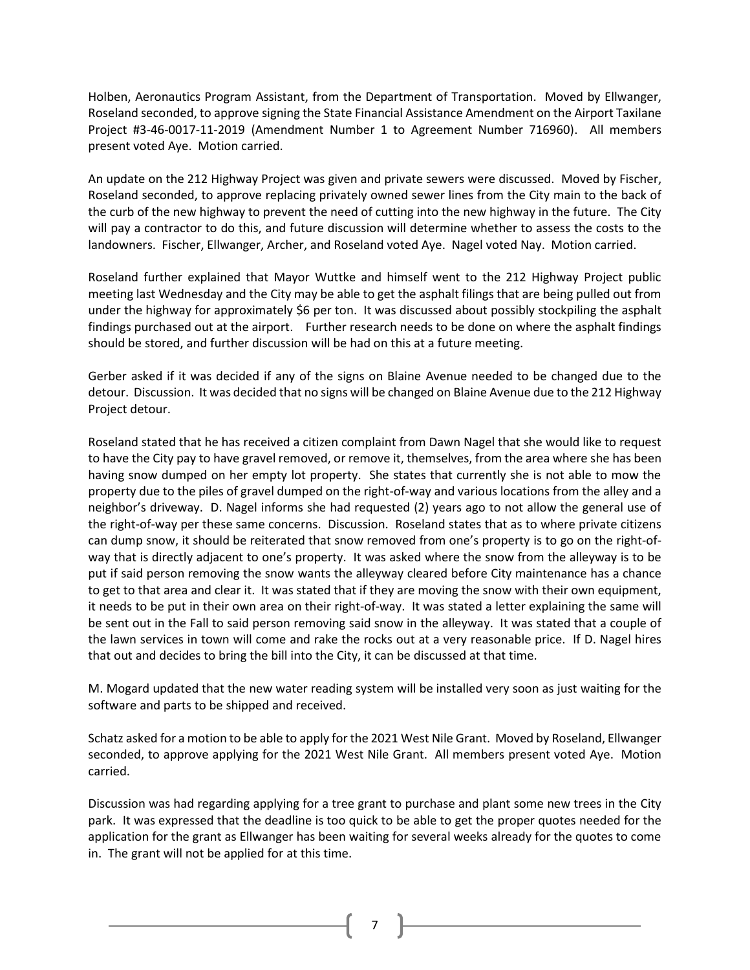Holben, Aeronautics Program Assistant, from the Department of Transportation. Moved by Ellwanger, Roseland seconded, to approve signing the State Financial Assistance Amendment on the Airport Taxilane Project #3-46-0017-11-2019 (Amendment Number 1 to Agreement Number 716960). All members present voted Aye. Motion carried.

An update on the 212 Highway Project was given and private sewers were discussed. Moved by Fischer, Roseland seconded, to approve replacing privately owned sewer lines from the City main to the back of the curb of the new highway to prevent the need of cutting into the new highway in the future. The City will pay a contractor to do this, and future discussion will determine whether to assess the costs to the landowners. Fischer, Ellwanger, Archer, and Roseland voted Aye. Nagel voted Nay. Motion carried.

Roseland further explained that Mayor Wuttke and himself went to the 212 Highway Project public meeting last Wednesday and the City may be able to get the asphalt filings that are being pulled out from under the highway for approximately \$6 per ton. It was discussed about possibly stockpiling the asphalt findings purchased out at the airport. Further research needs to be done on where the asphalt findings should be stored, and further discussion will be had on this at a future meeting.

Gerber asked if it was decided if any of the signs on Blaine Avenue needed to be changed due to the detour. Discussion. It was decided that no signs will be changed on Blaine Avenue due to the 212 Highway Project detour.

Roseland stated that he has received a citizen complaint from Dawn Nagel that she would like to request to have the City pay to have gravel removed, or remove it, themselves, from the area where she has been having snow dumped on her empty lot property. She states that currently she is not able to mow the property due to the piles of gravel dumped on the right-of-way and various locations from the alley and a neighbor's driveway. D. Nagel informs she had requested (2) years ago to not allow the general use of the right-of-way per these same concerns. Discussion. Roseland states that as to where private citizens can dump snow, it should be reiterated that snow removed from one's property is to go on the right-ofway that is directly adjacent to one's property. It was asked where the snow from the alleyway is to be put if said person removing the snow wants the alleyway cleared before City maintenance has a chance to get to that area and clear it. It was stated that if they are moving the snow with their own equipment, it needs to be put in their own area on their right-of-way. It was stated a letter explaining the same will be sent out in the Fall to said person removing said snow in the alleyway. It was stated that a couple of the lawn services in town will come and rake the rocks out at a very reasonable price. If D. Nagel hires that out and decides to bring the bill into the City, it can be discussed at that time.

M. Mogard updated that the new water reading system will be installed very soon as just waiting for the software and parts to be shipped and received.

Schatz asked for a motion to be able to apply for the 2021 West Nile Grant. Moved by Roseland, Ellwanger seconded, to approve applying for the 2021 West Nile Grant. All members present voted Aye. Motion carried.

Discussion was had regarding applying for a tree grant to purchase and plant some new trees in the City park. It was expressed that the deadline is too quick to be able to get the proper quotes needed for the application for the grant as Ellwanger has been waiting for several weeks already for the quotes to come in. The grant will not be applied for at this time.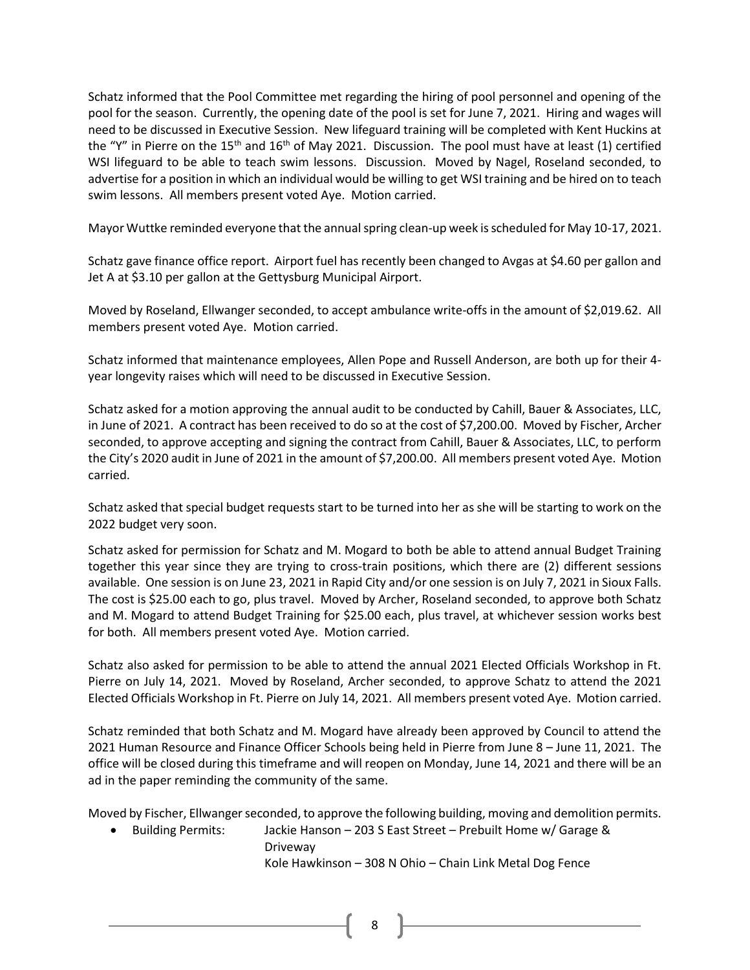Schatz informed that the Pool Committee met regarding the hiring of pool personnel and opening of the pool for the season. Currently, the opening date of the pool is set for June 7, 2021. Hiring and wages will need to be discussed in Executive Session. New lifeguard training will be completed with Kent Huckins at the "Y" in Pierre on the 15<sup>th</sup> and 16<sup>th</sup> of May 2021. Discussion. The pool must have at least (1) certified WSI lifeguard to be able to teach swim lessons. Discussion. Moved by Nagel, Roseland seconded, to advertise for a position in which an individual would be willing to get WSI training and be hired on to teach swim lessons. All members present voted Aye. Motion carried.

Mayor Wuttke reminded everyone that the annual spring clean-up week is scheduled for May 10-17, 2021.

Schatz gave finance office report. Airport fuel has recently been changed to Avgas at \$4.60 per gallon and Jet A at \$3.10 per gallon at the Gettysburg Municipal Airport.

Moved by Roseland, Ellwanger seconded, to accept ambulance write-offs in the amount of \$2,019.62. All members present voted Aye. Motion carried.

Schatz informed that maintenance employees, Allen Pope and Russell Anderson, are both up for their 4 year longevity raises which will need to be discussed in Executive Session.

Schatz asked for a motion approving the annual audit to be conducted by Cahill, Bauer & Associates, LLC, in June of 2021. A contract has been received to do so at the cost of \$7,200.00. Moved by Fischer, Archer seconded, to approve accepting and signing the contract from Cahill, Bauer & Associates, LLC, to perform the City's 2020 audit in June of 2021 in the amount of \$7,200.00. All members present voted Aye. Motion carried.

Schatz asked that special budget requests start to be turned into her as she will be starting to work on the 2022 budget very soon.

Schatz asked for permission for Schatz and M. Mogard to both be able to attend annual Budget Training together this year since they are trying to cross-train positions, which there are (2) different sessions available. One session is on June 23, 2021 in Rapid City and/or one session is on July 7, 2021 in Sioux Falls. The cost is \$25.00 each to go, plus travel. Moved by Archer, Roseland seconded, to approve both Schatz and M. Mogard to attend Budget Training for \$25.00 each, plus travel, at whichever session works best for both. All members present voted Aye. Motion carried.

Schatz also asked for permission to be able to attend the annual 2021 Elected Officials Workshop in Ft. Pierre on July 14, 2021. Moved by Roseland, Archer seconded, to approve Schatz to attend the 2021 Elected Officials Workshop in Ft. Pierre on July 14, 2021. All members present voted Aye. Motion carried.

Schatz reminded that both Schatz and M. Mogard have already been approved by Council to attend the 2021 Human Resource and Finance Officer Schools being held in Pierre from June 8 – June 11, 2021. The office will be closed during this timeframe and will reopen on Monday, June 14, 2021 and there will be an ad in the paper reminding the community of the same.

Moved by Fischer, Ellwanger seconded, to approve the following building, moving and demolition permits.

• Building Permits: Jackie Hanson – 203 S East Street – Prebuilt Home w/ Garage & Driveway

Kole Hawkinson – 308 N Ohio – Chain Link Metal Dog Fence